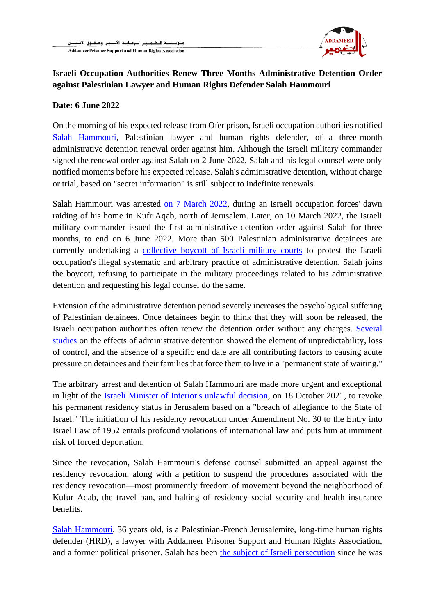

## **Israeli Occupation Authorities Renew Three Months Administrative Detention Order against Palestinian Lawyer and Human Rights Defender Salah Hammouri**

## **Date: 6 June 2022**

On the morning of his expected release from Ofer prison, Israeli occupation authorities notified [Salah Hammouri,](https://justiceforsalah.net/) Palestinian lawyer and human rights defender, of a three-month administrative detention renewal order against him. Although the Israeli military commander signed the renewal order against Salah on 2 June 2022, Salah and his legal counsel were only notified moments before his expected release. Salah's administrative detention, without charge or trial, based on "secret information" is still subject to indefinite renewals.

Salah Hammouri was arrested [on 7 March 2022,](https://www.addameer.org/index.php/news/4716) during an Israeli occupation forces' dawn raiding of his home in Kufr Aqab, north of Jerusalem. Later, on 10 March 2022, the Israeli military commander issued the first administrative detention order against Salah for three months, to end on 6 June 2022. More than 500 Palestinian administrative detainees are currently undertaking a [collective boycott of Israeli military courts](https://www.addameer.org/news/4662) to protest the Israeli occupation's illegal systematic and arbitrary practice of administrative detention. Salah joins the boycott, refusing to participate in the military proceedings related to his administrative detention and requesting his legal counsel do the same.

Extension of the administrative detention period severely increases the psychological suffering of Palestinian detainees. Once detainees begin to think that they will soon be released, the Israeli occupation authorities often renew the detention order without any charges. [Several](https://www.addameer.org/index.php/publications/induced-desperation-psychological-torture-administrative-detention) [studies](https://www.addameer.org/index.php/publications/induced-desperation-psychological-torture-administrative-detention) on the effects of administrative detention showed the element of unpredictability, loss of control, and the absence of a specific end date are all contributing factors to causing acute pressure on detainees and their families that force them to live in a "permanent state of waiting."

The arbitrary arrest and detention of Salah Hammouri are made more urgent and exceptional in light of the [Israeli Minister of Interior's unlawful decision,](https://www.addameer.org/index.php/news/4687) on 18 October 2021, to revoke his permanent residency status in Jerusalem based on a "breach of allegiance to the State of Israel." The initiation of his residency revocation under Amendment No. 30 to the Entry into Israel Law of 1952 entails profound violations of international law and puts him at imminent risk of forced deportation.

Since the revocation, Salah Hammouri's defense counsel submitted an appeal against the residency revocation, along with a petition to suspend the procedures associated with the residency revocation—most prominently freedom of movement beyond the neighborhood of Kufur Aqab, the travel ban, and halting of residency social security and health insurance benefits.

[Salah Hammouri,](http://addameer.org/prisoner/2992) 36 years old, is a Palestinian-French Jerusalemite, long-time human rights defender (HRD), a lawyer with Addameer Prisoner Support and Human Rights Association, and a former political prisoner. Salah has been [the subject of Israeli persecution](http://addameer.org/news/4790) since he was